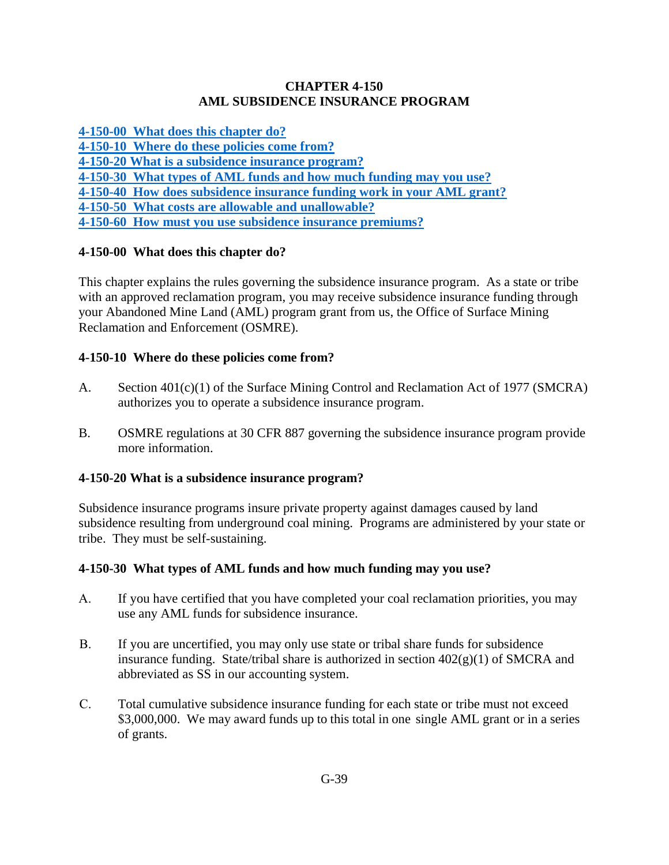### **CHAPTER 4-150 AML SUBSIDENCE INSURANCE PROGRAM**

**[4-150-00 What does this chapter do?](#page-0-0)**

**[4-150-10 Where do these policies come from?](#page-0-1)**

**[4-150-20 What is a subsidence insurance program?](#page-0-2)**

**[4-150-30 What types of AML funds and how much funding may you use?](#page-0-3)**

**[4-150-40 How does subsidence insurance funding work in your AML grant?](#page-1-0)**

**[4-150-50 What costs are allowable and unallowable?](#page-1-1)**

**[4-150-60 How must you use subsidence insurance premiums?](#page-1-2)**

# <span id="page-0-0"></span>**4-150-00 What does this chapter do?**

This chapter explains the rules governing the subsidence insurance program. As a state or tribe with an approved reclamation program, you may receive subsidence insurance funding through your Abandoned Mine Land (AML) program grant from us, the Office of Surface Mining Reclamation and Enforcement (OSMRE).

## <span id="page-0-1"></span>**4-150-10 Where do these policies come from?**

- A. Section 401(c)(1) of the Surface Mining Control and Reclamation Act of 1977 (SMCRA) authorizes you to operate a subsidence insurance program.
- B. OSMRE regulations at 30 CFR 887 governing the subsidence insurance program provide more information.

## <span id="page-0-2"></span>**4-150-20 What is a subsidence insurance program?**

Subsidence insurance programs insure private property against damages caused by land subsidence resulting from underground coal mining. Programs are administered by your state or tribe. They must be self-sustaining.

## <span id="page-0-3"></span>**4-150-30 What types of AML funds and how much funding may you use?**

- A. If you have certified that you have completed your coal reclamation priorities, you may use any AML funds for subsidence insurance.
- B. If you are uncertified, you may only use state or tribal share funds for subsidence insurance funding. State/tribal share is authorized in section  $402(g)(1)$  of SMCRA and abbreviated as SS in our accounting system.
- C. Total cumulative subsidence insurance funding for each state or tribe must not exceed \$3,000,000. We may award funds up to this total in one single AML grant or in a series of grants.